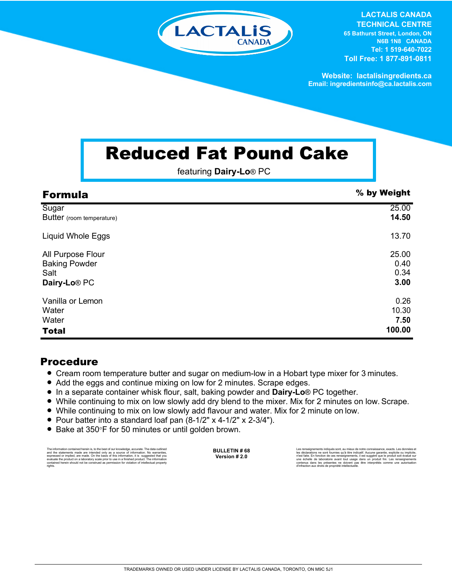

**LACTALIS CANADA TECHNICAL CENTRE 65 Bathurst Street, London, ON N6B 1N8 CANADA Tel: 1 519-640-7022 Toll Free: 1 877-891-0811**

**Website: lactalisingredients.ca Email: ingredientsinfo@ca.lactalis.com**

## Reduced Fat Pound Cake

featuring **Dairy-Lo**® PC

| <b>Formula</b>            | % by Weight |
|---------------------------|-------------|
| Sugar                     | 25.00       |
| Butter (room temperature) | 14.50       |
| <b>Liquid Whole Eggs</b>  | 13.70       |
| All Purpose Flour         | 25.00       |
| <b>Baking Powder</b>      | 0.40        |
| Salt                      | 0.34        |
| Dairy-Lo <sup>®</sup> PC  | 3.00        |
| Vanilla or Lemon          | 0.26        |
| Water                     | 10.30       |
| Water                     | 7.50        |
| <b>Total</b>              | 100.00      |

## Procedure

- Cream room temperature butter and sugar on medium-low in a Hobart type mixer for 3 minutes.
- Add the eggs and continue mixing on low for 2 minutes. Scrape edges.
- In a separate container whisk flour, salt, baking powder and **Dairy-Lo**® PC together.
- = While continuing to mix on low slowly add dry blend to the mixer. Mix for 2 minutes on low. Scrape.
- While continuing to mix on low slowly add flavour and water. Mix for 2 minute on low.
- Pour batter into a standard loaf pan  $(8-1/2" \times 4-1/2" \times 2-3/4").$
- Bake at 350°F for 50 minutes or until golden brown.

The information contained herein is, to the best of our knowledge, accurate. The data cutlined the statements made are intended only as a source of information. No warranties, expressed or implied, are made. On the basis o

**BULLETIN # 68 Version # 2.0**

Les rensejonements indiqués sont, au mieux de notre connaissance, exacts. Les données et<br>les déclarations ne sont fournies qu'à titre indicatif. Aucune garantie, explicite ou implicite,<br>riest faite. En fonction de ces rens